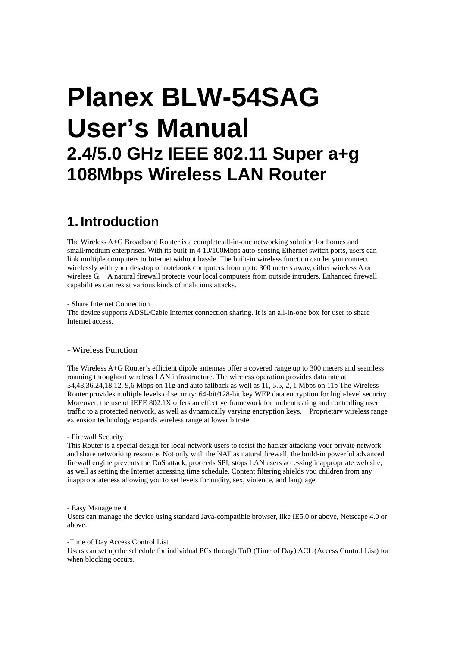# **Planex BLW-54SAG User's Manual 2.4/5.0 GHz IEEE 802.11 Super a+g 108Mbps Wireless LAN Router**

### **1. Introduction**

The Wireless A+G Broadband Router is a complete all-in-one networking solution for homes and small/medium enterprises. With its built-in 4 10/100Mbps auto-sensing Ethernet switch ports, users can link multiple computers to Internet without hassle. The built-in wireless function can let you connect wirelessly with your desktop or notebook computers from up to 300 meters away, either wireless A or wireless G. A natural firewall protects your local computers from outside intruders. Enhanced firewall capabilities can resist various kinds of malicious attacks.

#### - Share Internet Connection

The device supports ADSL/Cable Internet connection sharing. It is an all-in-one box for user to share Internet access.

#### - Wireless Function

The Wireless A+G Router's efficient dipole antennas offer a covered range up to 300 meters and seamless roaming throughout wireless LAN infrastructure. The wireless operation provides data rate at 54,48,36,24,18,12, 9,6 Mbps on 11g and auto fallback as well as 11, 5.5, 2, 1 Mbps on 11b The Wireless Router provides multiple levels of security: 64-bit/128-bit key WEP data encryption for high-level security. Moreover, the use of IEEE 802.1X offers an effective framework for authenticating and controlling user traffic to a protected network, as well as dynamically varying encryption keys. Proprietary wireless range extension technology expands wireless range at lower bitrate.

#### - Firewall Security

This Router is a special design for local network users to resist the hacker attacking your private network and share networking resource. Not only with the NAT as natural firewall, the build-in powerful advanced firewall engine prevents the DoS attack, proceeds SPI, stops LAN users accessing inappropriate web site, as well as setting the Internet accessing time schedule. Content filtering shields you children from any inappropriateness allowing you to set levels for nudity, sex, violence, and language.

- Easy Management

Users can manage the device using standard Java-compatible browser, like IE5.0 or above, Netscape 4.0 or above.

#### -Time of Day Access Control List

Users can set up the schedule for individual PCs through ToD (Time of Day) ACL (Access Control List) for when blocking occurs.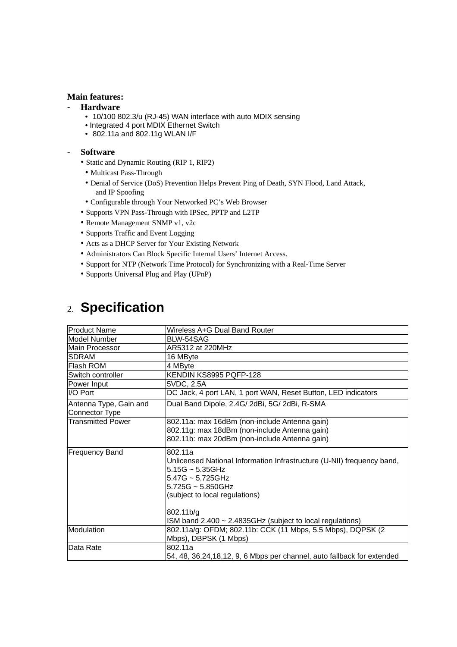### **Main features:**

### - **Hardware**

- 10/100 802.3/u (RJ-45) WAN interface with auto MDIX sensing
- Integrated 4 port MDIX Ethernet Switch
- 802.11a and 802.11g WLAN I/F

### - **Software**

- Static and Dynamic Routing (RIP 1, RIP2)
- Multicast Pass-Through
- Denial of Service (DoS) Prevention Helps Prevent Ping of Death, SYN Flood, Land Attack, and IP Spoofing
- Configurable through Your Networked PC's Web Browser
- Supports VPN Pass-Through with IPSec, PPTP and L2TP
- Remote Management SNMP v1, v2c
- Supports Traffic and Event Logging
- Acts as a DHCP Server for Your Existing Network
- Administrators Can Block Specific Internal Users' Internet Access.
- Support for NTP (Network Time Protocol) for Synchronizing with a Real-Time Server
- Supports Universal Plug and Play (UPnP)

### 2. **Specification**

| <b>Product Name</b>                      | Wireless A+G Dual Band Router                                                                                                                                                                                                                                         |
|------------------------------------------|-----------------------------------------------------------------------------------------------------------------------------------------------------------------------------------------------------------------------------------------------------------------------|
| Model Number                             | BLW-54SAG                                                                                                                                                                                                                                                             |
| lMain Processor                          | AR5312 at 220MHz                                                                                                                                                                                                                                                      |
| <b>SDRAM</b>                             | 16 MByte                                                                                                                                                                                                                                                              |
| <b>Flash ROM</b>                         | 4 MByte                                                                                                                                                                                                                                                               |
| Switch controller                        | KENDIN KS8995 PQFP-128                                                                                                                                                                                                                                                |
| Power Input                              | 5VDC, 2.5A                                                                                                                                                                                                                                                            |
| I/O Port                                 | DC Jack, 4 port LAN, 1 port WAN, Reset Button, LED indicators                                                                                                                                                                                                         |
| Antenna Type, Gain and<br>Connector Type | Dual Band Dipole, 2.4G/ 2dBi, 5G/ 2dBi, R-SMA                                                                                                                                                                                                                         |
| <b>Transmitted Power</b>                 | 802.11a: max 16dBm (non-include Antenna gain)<br>802.11g: max 18dBm (non-include Antenna gain)<br>802.11b: max 20dBm (non-include Antenna gain)                                                                                                                       |
| <b>Frequency Band</b>                    | 802.11a<br>Unlicensed National Information Infrastructure (U-NII) frequency band,<br>$5.15G - 5.35GHz$<br>$5.47G \sim 5.725GHz$<br>$5.725G \sim 5.850GHz$<br>(subject to local regulations)<br>802.11b/g<br>ISM band 2.400 ~ 2.4835GHz (subject to local regulations) |
| Modulation                               | 802.11a/g: OFDM; 802.11b: CCK (11 Mbps, 5.5 Mbps), DQPSK (2<br>Mbps), DBPSK (1 Mbps)                                                                                                                                                                                  |
| Data Rate                                | 802.11a<br>54, 48, 36, 24, 18, 12, 9, 6 Mbps per channel, auto fallback for extended                                                                                                                                                                                  |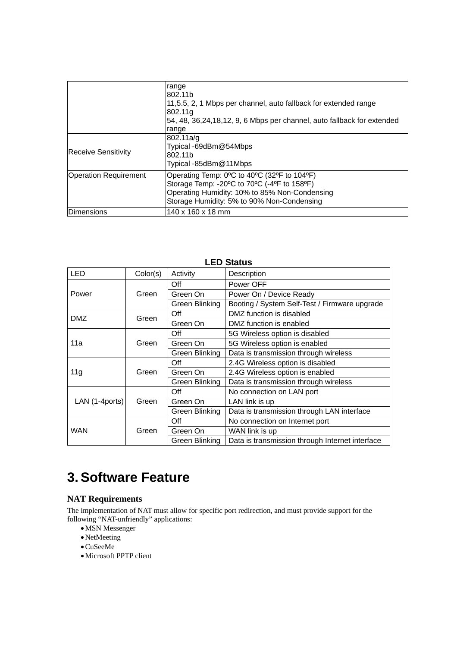| <b>Receive Sensitivity</b>   | range<br>802.11b<br>11,5.5, 2, 1 Mbps per channel, auto fallback for extended range<br>802.11a<br>54, 48, 36, 24, 18, 12, 9, 6 Mbps per channel, auto fallback for extended<br>range<br>802.11a/g<br>Typical -69dBm@54Mbps<br>802.11b<br>Typical -85dBm@11Mbps |
|------------------------------|----------------------------------------------------------------------------------------------------------------------------------------------------------------------------------------------------------------------------------------------------------------|
| <b>Operation Requirement</b> | Operating Temp: 0°C to 40°C (32°F to 104°F)<br>Storage Temp: -20°C to 70°C (-4°F to 158°F)<br>Operating Humidity: 10% to 85% Non-Condensing<br>Storage Humidity: 5% to 90% Non-Condensing                                                                      |
| Dimensions                   | 140 x 160 x 18 mm                                                                                                                                                                                                                                              |

| LLD Jialus     |          |                |                                                 |  |
|----------------|----------|----------------|-------------------------------------------------|--|
| <b>LED</b>     | Color(s) | Activity       | Description                                     |  |
| Power          | Green    | Off            | Power OFF                                       |  |
|                |          | Green On       | Power On / Device Ready                         |  |
|                |          | Green Blinking | Booting / System Self-Test / Firmware upgrade   |  |
| <b>DMZ</b>     | Green    | Off            | DMZ function is disabled                        |  |
|                |          | Green On       | DMZ function is enabled                         |  |
| 11a            | Green    | Off            | 5G Wireless option is disabled                  |  |
|                |          | Green On       | 5G Wireless option is enabled                   |  |
|                |          | Green Blinking | Data is transmission through wireless           |  |
| 11g            | Green    | Off            | 2.4G Wireless option is disabled                |  |
|                |          | Green On       | 2.4G Wireless option is enabled                 |  |
|                |          | Green Blinking | Data is transmission through wireless           |  |
| LAN (1-4ports) | Green    | Off            | No connection on LAN port                       |  |
|                |          | Green On       | LAN link is up                                  |  |
|                |          | Green Blinking | Data is transmission through LAN interface      |  |
| <b>WAN</b>     | Green    | Off            | No connection on Internet port                  |  |
|                |          | Green On       | WAN link is up                                  |  |
|                |          | Green Blinking | Data is transmission through Internet interface |  |

### **LED Status**

# **3. Software Feature**

### **NAT Requirements**

The implementation of NAT must allow for specific port redirection, and must provide support for the following "NAT-unfriendly" applications:

- MSN Messenger
- NetMeeting
- CuSeeMe
- Microsoft PPTP client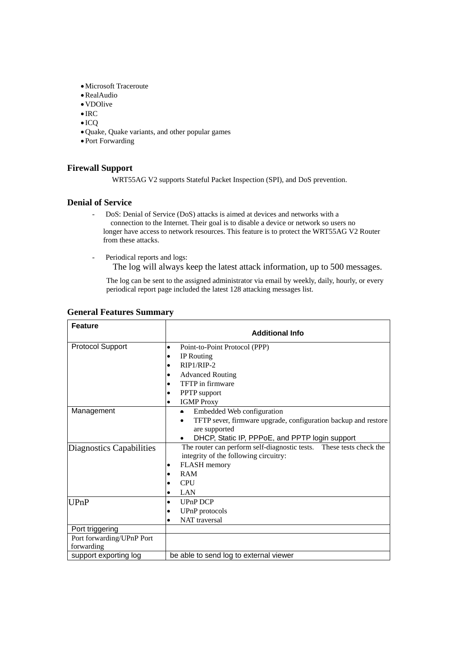- Microsoft Traceroute
- RealAudio
- VDOlive
- IRC
- ICQ
- Quake, Quake variants, and other popular games
- Port Forwarding

### **Firewall Support**

WRT55AG V2 supports Stateful Packet Inspection (SPI), and DoS prevention.

#### **Denial of Service**

- DoS: Denial of Service (DoS) attacks is aimed at devices and networks with a connection to the Internet. Their goal is to disable a device or network so users no longer have access to network resources. This feature is to protect the WRT55AG V2 Router from these attacks.
- Periodical reports and logs: The log will always keep the latest attack information, up to 500 messages.

The log can be sent to the assigned administrator via email by weekly, daily, hourly, or every periodical report page included the latest 128 attacking messages list.

| <b>Feature</b>            | <b>Additional Info</b>                                              |
|---------------------------|---------------------------------------------------------------------|
| Protocol Support          | Point-to-Point Protocol (PPP)<br>$\bullet$                          |
|                           | IP Routing<br>٠                                                     |
|                           | $RIP1/RIP-2$<br>$\bullet$                                           |
|                           | <b>Advanced Routing</b><br>٠                                        |
|                           | TFTP in firmware                                                    |
|                           | PPTP support<br>٠                                                   |
|                           | <b>IGMP</b> Proxy<br>$\bullet$                                      |
| Management                | Embedded Web configuration<br>$\bullet$                             |
|                           | TFTP sever, firmware upgrade, configuration backup and restore      |
|                           | are supported                                                       |
|                           | DHCP, Static IP, PPPoE, and PPTP login support                      |
| Diagnostics Capabilities  | The router can perform self-diagnostic tests. These tests check the |
|                           | integrity of the following circuitry:                               |
|                           | FLASH memory<br>٠                                                   |
|                           | <b>RAM</b>                                                          |
|                           | <b>CPU</b>                                                          |
|                           | LAN<br>$\bullet$                                                    |
| UPnP                      | UPnP DCP<br>$\bullet$                                               |
|                           | UPnP protocols<br>٠                                                 |
|                           | <b>NAT</b> traversal<br>$\bullet$                                   |
| Port triggering           |                                                                     |
| Port forwarding/UPnP Port |                                                                     |
| forwarding                |                                                                     |
| support exporting log     | be able to send log to external viewer                              |

### **General Features Summary**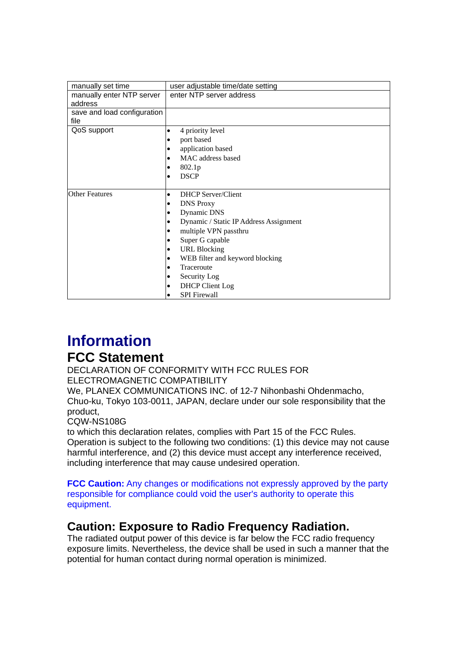| manually set time           | user adjustable time/date setting           |  |  |
|-----------------------------|---------------------------------------------|--|--|
| manually enter NTP server   | enter NTP server address                    |  |  |
| address                     |                                             |  |  |
| save and load configuration |                                             |  |  |
| file                        |                                             |  |  |
| QoS support                 | 4 priority level<br>٠                       |  |  |
|                             | port based<br>$\bullet$                     |  |  |
|                             | application based<br>٠                      |  |  |
|                             | MAC address based<br>$\bullet$              |  |  |
|                             | 802.1p                                      |  |  |
|                             | <b>DSCP</b><br>٠                            |  |  |
|                             |                                             |  |  |
| <b>Other Features</b>       | <b>DHCP Server/Client</b><br>٠              |  |  |
|                             | <b>DNS Proxy</b><br>٠                       |  |  |
|                             | Dynamic DNS<br>٠                            |  |  |
|                             | Dynamic / Static IP Address Assignment<br>٠ |  |  |
|                             | multiple VPN passthru<br>٠                  |  |  |
|                             | Super G capable<br>٠                        |  |  |
|                             | <b>URL Blocking</b><br>٠                    |  |  |
|                             | WEB filter and keyword blocking<br>٠        |  |  |
|                             | Traceroute<br>٠                             |  |  |
|                             | Security Log<br>٠                           |  |  |
|                             | <b>DHCP Client Log</b><br>٠                 |  |  |
|                             | <b>SPI</b> Firewall                         |  |  |

## **Information FCC Statement**

DECLARATION OF CONFORMITY WITH FCC RULES FOR ELECTROMAGNETIC COMPATIBILITY

We, PLANEX COMMUNICATIONS INC. of 12-7 Nihonbashi Ohdenmacho, Chuo-ku, Tokyo 103-0011, JAPAN, declare under our sole responsibility that the product,

CQW-NS108G

to which this declaration relates, complies with Part 15 of the FCC Rules. Operation is subject to the following two conditions: (1) this device may not cause harmful interference, and (2) this device must accept any interference received, including interference that may cause undesired operation.

**FCC Caution:** Any changes or modifications not expressly approved by the party responsible for compliance could void the user's authority to operate this equipment.

### **Caution: Exposure to Radio Frequency Radiation.**

The radiated output power of this device is far below the FCC radio frequency exposure limits. Nevertheless, the device shall be used in such a manner that the potential for human contact during normal operation is minimized.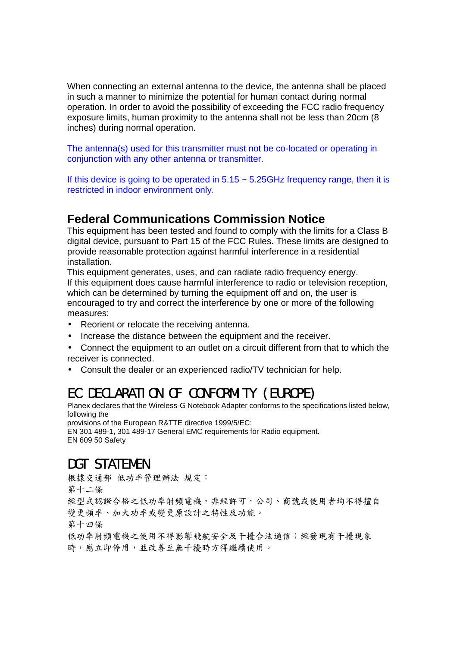When connecting an external antenna to the device, the antenna shall be placed in such a manner to minimize the potential for human contact during normal operation. In order to avoid the possibility of exceeding the FCC radio frequency exposure limits, human proximity to the antenna shall not be less than 20cm (8 inches) during normal operation.

The antenna(s) used for this transmitter must not be co-located or operating in conjunction with any other antenna or transmitter.

If this device is going to be operated in  $5.15 \sim 5.25$  GHz frequency range, then it is restricted in indoor environment only.

### **Federal Communications Commission Notice**

This equipment has been tested and found to comply with the limits for a Class B digital device, pursuant to Part 15 of the FCC Rules. These limits are designed to provide reasonable protection against harmful interference in a residential installation.

This equipment generates, uses, and can radiate radio frequency energy. If this equipment does cause harmful interference to radio or television reception, which can be determined by turning the equipment off and on, the user is encouraged to try and correct the interference by one or more of the following measures:

Reorient or relocate the receiving antenna.

Increase the distance between the equipment and the receiver.

 Connect the equipment to an outlet on a circuit different from that to which the receiver is connected.

Consult the dealer or an experienced radio/TV technician for help.

# EC DECLARATION OF CONFORMITY (EUROPE)

Planex declares that the Wireless-G Notebook Adapter conforms to the specifications listed below, following the

provisions of the European R&TTE directive 1999/5/EC:

EN 301 489-1, 301 489-17 General EMC requirements for Radio equipment. EN 609 50 Safety

# DGT STATEMEN

根據交通部 低功率管理辦法 規定: 第十二條 經型式認證合格之低功率射頻電機,非經許可,公司、商號或使用者均不得擅自 變更頻率、加大功率或變更原設計之特性及功能。 第十四條

低功率射頻電機之使用不得影響飛航安全及干擾合法通信;經發現有干擾現象 時,應立即停用,並改善至無干擾時方得繼續使用。